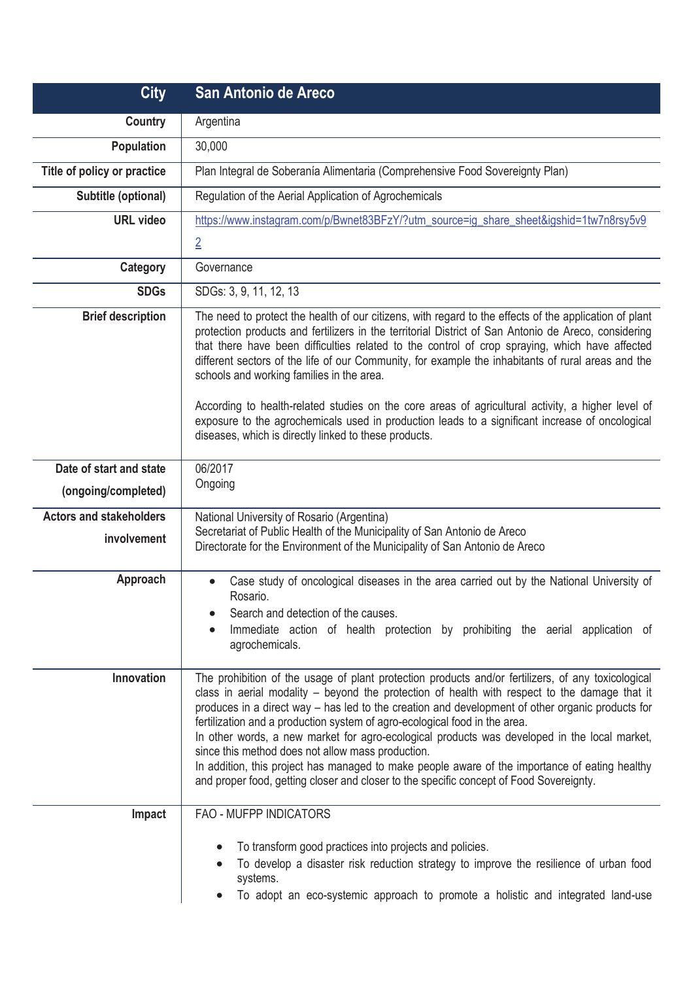| <b>City</b>                                    | San Antonio de Areco                                                                                                                                                                                                                                                                                                                                                                                                                                                                                                                                                                                                                                                                                                                    |
|------------------------------------------------|-----------------------------------------------------------------------------------------------------------------------------------------------------------------------------------------------------------------------------------------------------------------------------------------------------------------------------------------------------------------------------------------------------------------------------------------------------------------------------------------------------------------------------------------------------------------------------------------------------------------------------------------------------------------------------------------------------------------------------------------|
| <b>Country</b>                                 | Argentina                                                                                                                                                                                                                                                                                                                                                                                                                                                                                                                                                                                                                                                                                                                               |
| <b>Population</b>                              | 30,000                                                                                                                                                                                                                                                                                                                                                                                                                                                                                                                                                                                                                                                                                                                                  |
| Title of policy or practice                    | Plan Integral de Soberanía Alimentaria (Comprehensive Food Sovereignty Plan)                                                                                                                                                                                                                                                                                                                                                                                                                                                                                                                                                                                                                                                            |
| Subtitle (optional)                            | Regulation of the Aerial Application of Agrochemicals                                                                                                                                                                                                                                                                                                                                                                                                                                                                                                                                                                                                                                                                                   |
| <b>URL</b> video                               | https://www.instagram.com/p/Bwnet83BFzY/?utm_source=ig_share_sheet&igshid=1tw7n8rsy5v9                                                                                                                                                                                                                                                                                                                                                                                                                                                                                                                                                                                                                                                  |
|                                                | $\overline{2}$                                                                                                                                                                                                                                                                                                                                                                                                                                                                                                                                                                                                                                                                                                                          |
| Category                                       | Governance                                                                                                                                                                                                                                                                                                                                                                                                                                                                                                                                                                                                                                                                                                                              |
| <b>SDGs</b>                                    | SDGs: 3, 9, 11, 12, 13                                                                                                                                                                                                                                                                                                                                                                                                                                                                                                                                                                                                                                                                                                                  |
| <b>Brief description</b>                       | The need to protect the health of our citizens, with regard to the effects of the application of plant<br>protection products and fertilizers in the territorial District of San Antonio de Areco, considering<br>that there have been difficulties related to the control of crop spraying, which have affected<br>different sectors of the life of our Community, for example the inhabitants of rural areas and the<br>schools and working families in the area.<br>According to health-related studies on the core areas of agricultural activity, a higher level of<br>exposure to the agrochemicals used in production leads to a significant increase of oncological<br>diseases, which is directly linked to these products.    |
| Date of start and state<br>(ongoing/completed) | 06/2017<br>Ongoing                                                                                                                                                                                                                                                                                                                                                                                                                                                                                                                                                                                                                                                                                                                      |
| <b>Actors and stakeholders</b><br>involvement  | National University of Rosario (Argentina)<br>Secretariat of Public Health of the Municipality of San Antonio de Areco<br>Directorate for the Environment of the Municipality of San Antonio de Areco                                                                                                                                                                                                                                                                                                                                                                                                                                                                                                                                   |
| Approach                                       | Case study of oncological diseases in the area carried out by the National University of<br>Rosario.<br>Search and detection of the causes.<br>Immediate action of health protection by prohibiting the aerial application of<br>agrochemicals.                                                                                                                                                                                                                                                                                                                                                                                                                                                                                         |
| Innovation                                     | The prohibition of the usage of plant protection products and/or fertilizers, of any toxicological<br>class in aerial modality – beyond the protection of health with respect to the damage that it<br>produces in a direct way – has led to the creation and development of other organic products for<br>fertilization and a production system of agro-ecological food in the area.<br>In other words, a new market for agro-ecological products was developed in the local market,<br>since this method does not allow mass production.<br>In addition, this project has managed to make people aware of the importance of eating healthy<br>and proper food, getting closer and closer to the specific concept of Food Sovereignty. |
| Impact                                         | FAO - MUFPP INDICATORS<br>To transform good practices into projects and policies.<br>To develop a disaster risk reduction strategy to improve the resilience of urban food<br>systems.<br>To adopt an eco-systemic approach to promote a holistic and integrated land-use                                                                                                                                                                                                                                                                                                                                                                                                                                                               |